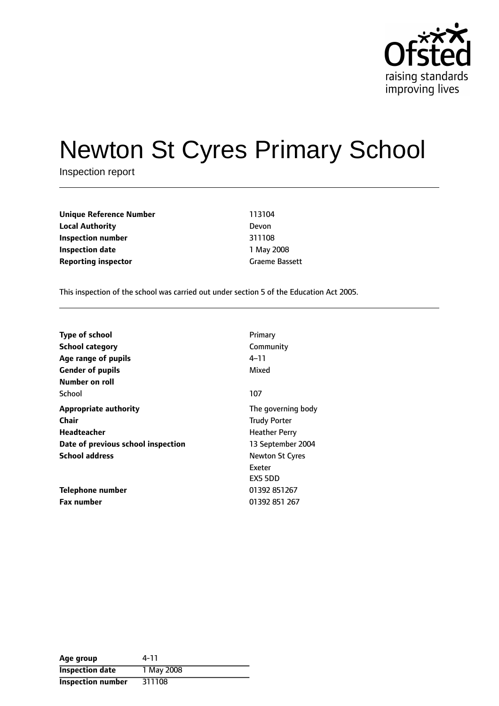

# Newton St Cyres Primary School

Inspection report

**Unique Reference Number** 113104 **Local Authority** Devon **Inspection number** 311108 **Inspection date** 1 May 2008 **Reporting inspector** Graeme Bassett

This inspection of the school was carried out under section 5 of the Education Act 2005.

| <b>Type of school</b>              | Primary                |
|------------------------------------|------------------------|
| <b>School category</b>             | Community              |
| Age range of pupils                | 4–11                   |
| <b>Gender of pupils</b>            | Mixed                  |
| Number on roll                     |                        |
| School                             | 107                    |
| <b>Appropriate authority</b>       | The governing body     |
| Chair                              | <b>Trudy Porter</b>    |
| Headteacher                        | <b>Heather Perry</b>   |
| Date of previous school inspection | 13 September 2004      |
| <b>School address</b>              | <b>Newton St Cyres</b> |
|                                    | Exeter                 |
|                                    | EX5 5DD                |
| Telephone number                   | 01392 851267           |
| <b>Fax number</b>                  | 01392 851 267          |

| Age group                | 4-11       |
|--------------------------|------------|
| <b>Inspection date</b>   | 1 May 2008 |
| <b>Inspection number</b> | 311108     |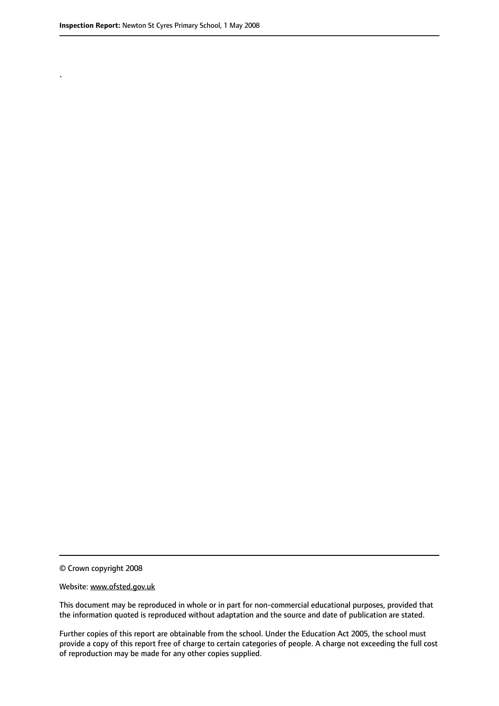.

© Crown copyright 2008

#### Website: www.ofsted.gov.uk

This document may be reproduced in whole or in part for non-commercial educational purposes, provided that the information quoted is reproduced without adaptation and the source and date of publication are stated.

Further copies of this report are obtainable from the school. Under the Education Act 2005, the school must provide a copy of this report free of charge to certain categories of people. A charge not exceeding the full cost of reproduction may be made for any other copies supplied.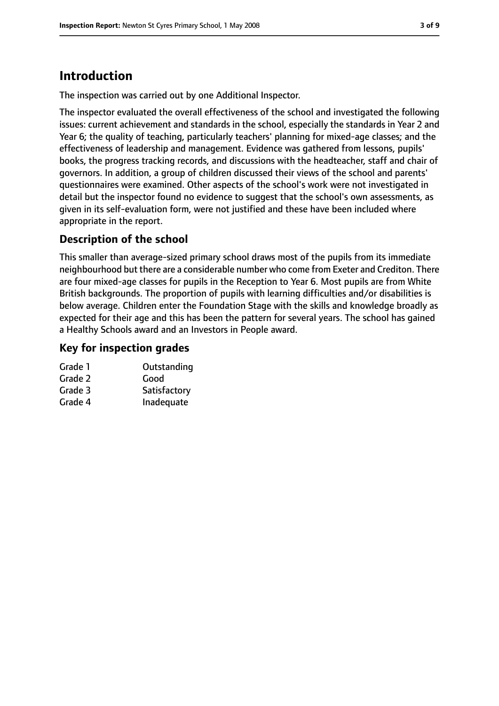# **Introduction**

The inspection was carried out by one Additional Inspector.

The inspector evaluated the overall effectiveness of the school and investigated the following issues: current achievement and standards in the school, especially the standards in Year 2 and Year 6; the quality of teaching, particularly teachers' planning for mixed-age classes; and the effectiveness of leadership and management. Evidence was gathered from lessons, pupils' books, the progress tracking records, and discussions with the headteacher, staff and chair of governors. In addition, a group of children discussed their views of the school and parents' questionnaires were examined. Other aspects of the school's work were not investigated in detail but the inspector found no evidence to suggest that the school's own assessments, as given in its self-evaluation form, were not justified and these have been included where appropriate in the report.

# **Description of the school**

This smaller than average-sized primary school draws most of the pupils from its immediate neighbourhood but there are a considerable number who come from Exeter and Crediton. There are four mixed-age classes for pupils in the Reception to Year 6. Most pupils are from White British backgrounds. The proportion of pupils with learning difficulties and/or disabilities is below average. Children enter the Foundation Stage with the skills and knowledge broadly as expected for their age and this has been the pattern for several years. The school has gained a Healthy Schools award and an Investors in People award.

## **Key for inspection grades**

| Grade 1 | Outstanding  |
|---------|--------------|
| Grade 2 | Good         |
| Grade 3 | Satisfactory |
| Grade 4 | Inadequate   |
|         |              |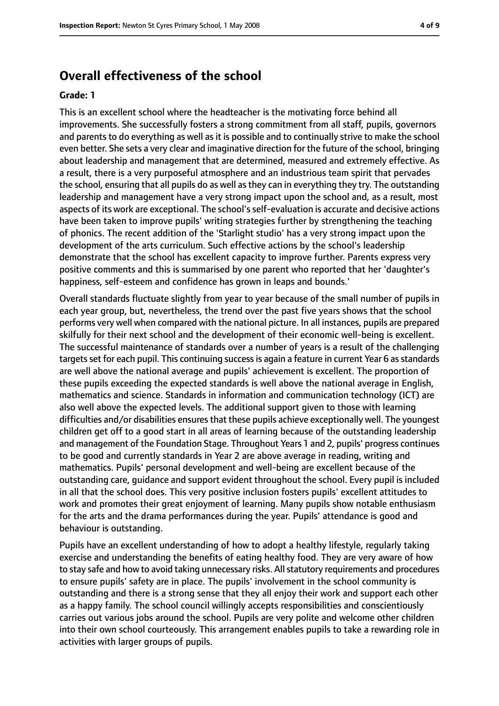# **Overall effectiveness of the school**

#### **Grade: 1**

This is an excellent school where the headteacher is the motivating force behind all improvements. She successfully fosters a strong commitment from all staff, pupils, governors and parents to do everything as well as it is possible and to continually strive to make the school even better. She sets a very clear and imaginative direction for the future of the school, bringing about leadership and management that are determined, measured and extremely effective. As a result, there is a very purposeful atmosphere and an industrious team spirit that pervades the school, ensuring that all pupils do as well asthey can in everything they try. The outstanding leadership and management have a very strong impact upon the school and, as a result, most aspects of its work are exceptional. The school'sself-evaluation is accurate and decisive actions have been taken to improve pupils' writing strategies further by strengthening the teaching of phonics. The recent addition of the 'Starlight studio' has a very strong impact upon the development of the arts curriculum. Such effective actions by the school's leadership demonstrate that the school has excellent capacity to improve further. Parents express very positive comments and this is summarised by one parent who reported that her 'daughter's happiness, self-esteem and confidence has grown in leaps and bounds.'

Overall standards fluctuate slightly from year to year because of the small number of pupils in each year group, but, nevertheless, the trend over the past five years shows that the school performs very well when compared with the national picture. In all instances, pupils are prepared skilfully for their next school and the development of their economic well-being is excellent. The successful maintenance of standards over a number of years is a result of the challenging targets set for each pupil. This continuing success is again a feature in current Year 6 as standards are well above the national average and pupils' achievement is excellent. The proportion of these pupils exceeding the expected standards is well above the national average in English, mathematics and science. Standards in information and communication technology (ICT) are also well above the expected levels. The additional support given to those with learning difficulties and/or disabilities ensures that these pupils achieve exceptionally well. The youngest children get off to a good start in all areas of learning because of the outstanding leadership and management of the Foundation Stage. Throughout Years 1 and 2, pupils' progress continues to be good and currently standards in Year 2 are above average in reading, writing and mathematics. Pupils' personal development and well-being are excellent because of the outstanding care, guidance and support evident throughout the school. Every pupil is included in all that the school does. This very positive inclusion fosters pupils' excellent attitudes to work and promotes their great enjoyment of learning. Many pupils show notable enthusiasm for the arts and the drama performances during the year. Pupils' attendance is good and behaviour is outstanding.

Pupils have an excellent understanding of how to adopt a healthy lifestyle, regularly taking exercise and understanding the benefits of eating healthy food. They are very aware of how to stay safe and how to avoid taking unnecessary risks. All statutory requirements and procedures to ensure pupils' safety are in place. The pupils' involvement in the school community is outstanding and there is a strong sense that they all enjoy their work and support each other as a happy family. The school council willingly accepts responsibilities and conscientiously carries out various jobs around the school. Pupils are very polite and welcome other children into their own school courteously. This arrangement enables pupils to take a rewarding role in activities with larger groups of pupils.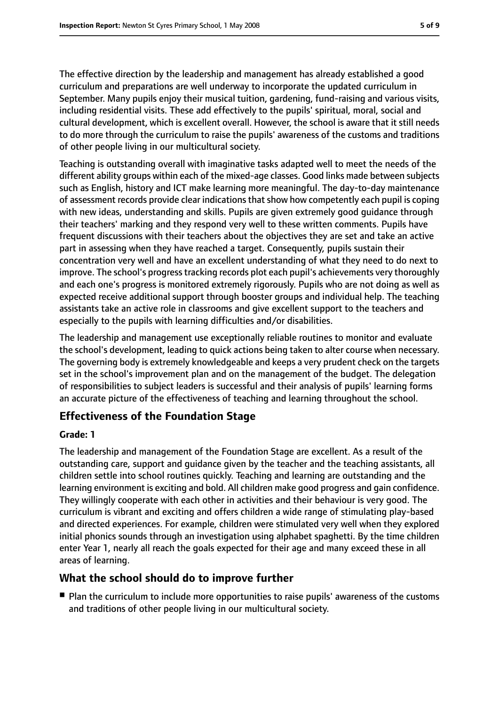The effective direction by the leadership and management has already established a good curriculum and preparations are well underway to incorporate the updated curriculum in September. Many pupils enjoy their musical tuition, gardening, fund-raising and various visits, including residential visits. These add effectively to the pupils' spiritual, moral, social and cultural development, which is excellent overall. However, the school is aware that it still needs to do more through the curriculum to raise the pupils' awareness of the customs and traditions of other people living in our multicultural society.

Teaching is outstanding overall with imaginative tasks adapted well to meet the needs of the different ability groups within each of the mixed-age classes. Good links made between subjects such as English, history and ICT make learning more meaningful. The day-to-day maintenance of assessment records provide clear indications that show how competently each pupil is coping with new ideas, understanding and skills. Pupils are given extremely good guidance through their teachers' marking and they respond very well to these written comments. Pupils have frequent discussions with their teachers about the objectives they are set and take an active part in assessing when they have reached a target. Consequently, pupils sustain their concentration very well and have an excellent understanding of what they need to do next to improve. The school's progress tracking records plot each pupil's achievements very thoroughly and each one's progress is monitored extremely rigorously. Pupils who are not doing as well as expected receive additional support through booster groups and individual help. The teaching assistants take an active role in classrooms and give excellent support to the teachers and especially to the pupils with learning difficulties and/or disabilities.

The leadership and management use exceptionally reliable routines to monitor and evaluate the school's development, leading to quick actions being taken to alter course when necessary. The governing body is extremely knowledgeable and keeps a very prudent check on the targets set in the school's improvement plan and on the management of the budget. The delegation of responsibilities to subject leaders is successful and their analysis of pupils' learning forms an accurate picture of the effectiveness of teaching and learning throughout the school.

#### **Effectiveness of the Foundation Stage**

#### **Grade: 1**

The leadership and management of the Foundation Stage are excellent. As a result of the outstanding care, support and guidance given by the teacher and the teaching assistants, all children settle into school routines quickly. Teaching and learning are outstanding and the learning environment is exciting and bold. All children make good progress and gain confidence. They willingly cooperate with each other in activities and their behaviour is very good. The curriculum is vibrant and exciting and offers children a wide range of stimulating play-based and directed experiences. For example, children were stimulated very well when they explored initial phonics sounds through an investigation using alphabet spaghetti. By the time children enter Year 1, nearly all reach the goals expected for their age and many exceed these in all areas of learning.

#### **What the school should do to improve further**

■ Plan the curriculum to include more opportunities to raise pupils' awareness of the customs and traditions of other people living in our multicultural society.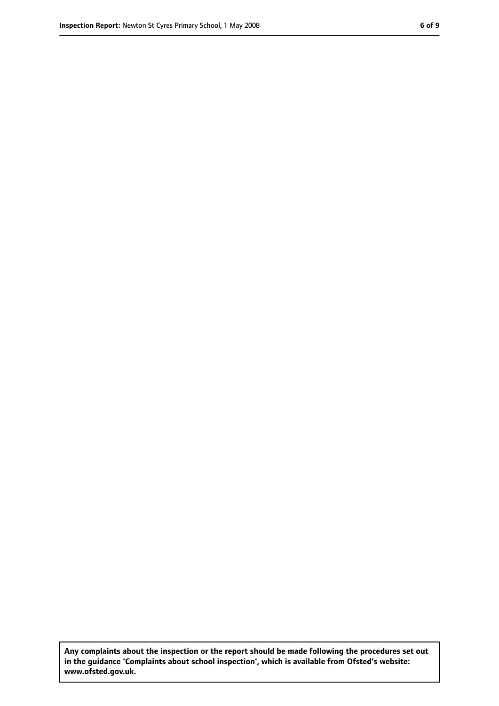**Any complaints about the inspection or the report should be made following the procedures set out in the guidance 'Complaints about school inspection', which is available from Ofsted's website: www.ofsted.gov.uk.**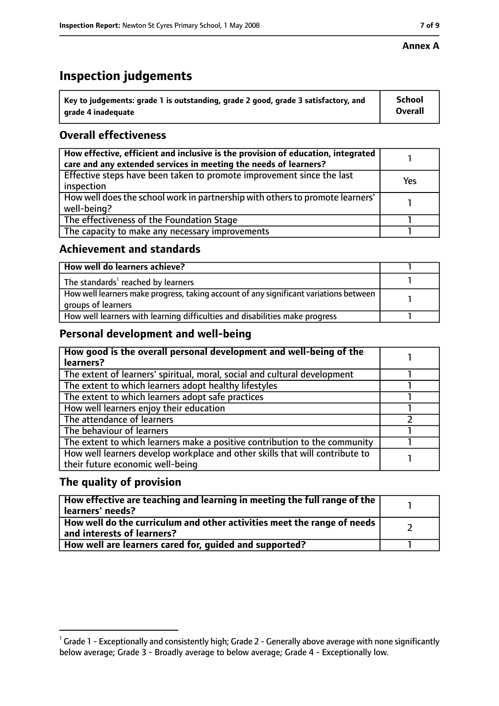#### **Annex A**

# **Inspection judgements**

| $^{\circ}$ Key to judgements: grade 1 is outstanding, grade 2 good, grade 3 satisfactory, and | School         |
|-----------------------------------------------------------------------------------------------|----------------|
| arade 4 inadequate                                                                            | <b>Overall</b> |

# **Overall effectiveness**

| How effective, efficient and inclusive is the provision of education, integrated<br>care and any extended services in meeting the needs of learners? |     |
|------------------------------------------------------------------------------------------------------------------------------------------------------|-----|
| Effective steps have been taken to promote improvement since the last<br>inspection                                                                  | Yes |
| How well does the school work in partnership with others to promote learners'<br>well-being?                                                         |     |
| The effectiveness of the Foundation Stage                                                                                                            |     |
| The capacity to make any necessary improvements                                                                                                      |     |

### **Achievement and standards**

| How well do learners achieve?                                                                               |  |
|-------------------------------------------------------------------------------------------------------------|--|
| The standards <sup>1</sup> reached by learners                                                              |  |
| How well learners make progress, taking account of any significant variations between<br>groups of learners |  |
| How well learners with learning difficulties and disabilities make progress                                 |  |

## **Personal development and well-being**

| How good is the overall personal development and well-being of the<br>learners?                                  |  |
|------------------------------------------------------------------------------------------------------------------|--|
| The extent of learners' spiritual, moral, social and cultural development                                        |  |
| The extent to which learners adopt healthy lifestyles                                                            |  |
| The extent to which learners adopt safe practices                                                                |  |
| How well learners enjoy their education                                                                          |  |
| The attendance of learners                                                                                       |  |
| The behaviour of learners                                                                                        |  |
| The extent to which learners make a positive contribution to the community                                       |  |
| How well learners develop workplace and other skills that will contribute to<br>their future economic well-being |  |

## **The quality of provision**

| How effective are teaching and learning in meeting the full range of the<br>learners' needs?          |  |
|-------------------------------------------------------------------------------------------------------|--|
| How well do the curriculum and other activities meet the range of needs<br>and interests of learners? |  |
| How well are learners cared for, guided and supported?                                                |  |

 $^1$  Grade 1 - Exceptionally and consistently high; Grade 2 - Generally above average with none significantly below average; Grade 3 - Broadly average to below average; Grade 4 - Exceptionally low.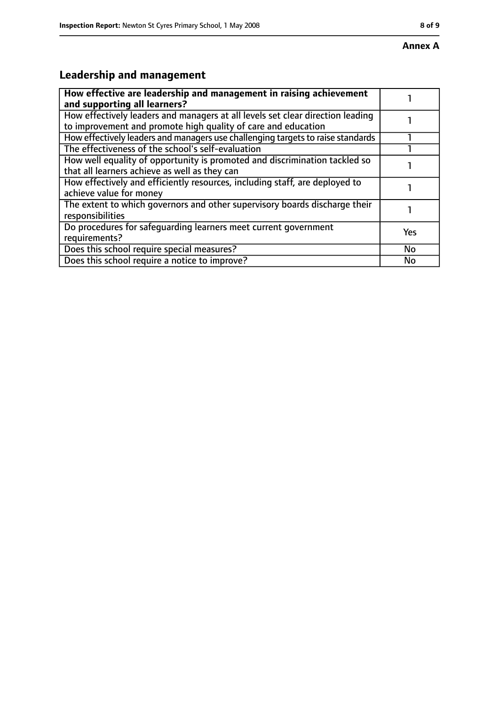# **Leadership and management**

| How effective are leadership and management in raising achievement<br>and supporting all learners?                                              |           |
|-------------------------------------------------------------------------------------------------------------------------------------------------|-----------|
| How effectively leaders and managers at all levels set clear direction leading<br>to improvement and promote high quality of care and education |           |
| How effectively leaders and managers use challenging targets to raise standards                                                                 |           |
| The effectiveness of the school's self-evaluation                                                                                               |           |
| How well equality of opportunity is promoted and discrimination tackled so<br>that all learners achieve as well as they can                     |           |
| How effectively and efficiently resources, including staff, are deployed to<br>achieve value for money                                          |           |
| The extent to which governors and other supervisory boards discharge their<br>responsibilities                                                  |           |
| Do procedures for safequarding learners meet current government<br>requirements?                                                                | Yes       |
| Does this school require special measures?                                                                                                      | <b>No</b> |
| Does this school require a notice to improve?                                                                                                   | No        |